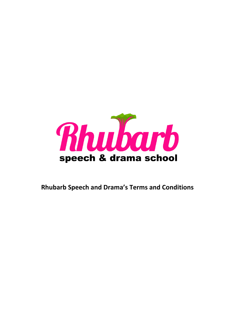

**Rhubarb Speech and Drama's Terms and Conditions**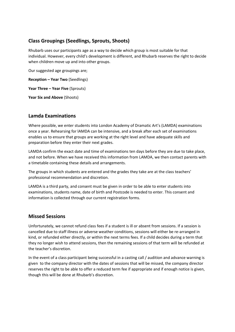# **Class Groupings (Seedlings, Sprouts, Shoots)**

Rhubarb uses our participants age as a way to decide which group is most suitable for that individual. However, every child's development is different, and Rhubarb reserves the right to decide when children move up and into other groups.

Our suggested age groupings are;

**Reception – Year Two** (Seedlings)

**Year Three – Year Five** (Sprouts)

**Year Six and Above** (Shoots)

#### **Lamda Examinations**

Where possible, we enter students into London Academy of Dramatic Art's (LAMDA) examinations once a year. Rehearsing for lAMDA can be intensive, and a break after each set of examinations enables us to ensure that groups are working at the right level and have adequate skills and preparation before they enter their next grades.

LAMDA confirm the exact date and time of examinations ten days before they are due to take place, and not before. When we have received this information from LAMDA, we then contact parents with a timetable containing these details and arrangements.

The groups in which students are entered and the grades they take are at the class teachers' professional recommendation and discretion.

LAMDA is a third party, and consent must be given in order to be able to enter students into examinations, students name, date of birth and Postcode is needed to enter. This consent and information is collected through our current registration forms.

#### **Missed Sessions**

Unfortunately, we cannot refund class fees if a student is ill or absent from sessions. If a session is cancelled due to staff illness or adverse weather conditions, sessions will either be re-arranged in kind, or refunded either directly, or within the next terms fees. If a child decides during a term that they no longer wish to attend sessions, then the remaining sessions of that term will be refunded at the teacher's discretion.

In the event of a class participant being successful in a casting call / audition and advance warning is given to the company director with the dates of sessions that will be missed, the company director reserves the right to be able to offer a reduced term fee if appropriate and if enough notice is given, though this will be done at Rhubarb's discretion.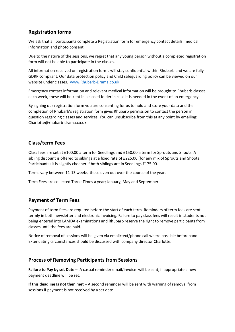# **Registration forms**

We ask that all participants complete a Registration form for emergency contact details, medical information and photo consent.

Due to the nature of the sessions, we regret that any young person without a completed registration form will not be able to participate in the classes.

All information received on registration forms will stay confidential within Rhubarb and we are fully GDRP compliant. Our data protection policy and Child safeguarding policy can be viewed on our website under classes. [www.Rhubarb-Drama.co.uk](http://www.rhubarb-drama.co.uk/)

Emergency contact information and relevant medical information will be brought to Rhubarb classes each week, these will be kept in a closed folder in case it is needed in the event of an emergency.

By signing our registration form you are consenting for us to hold and store your data and the completion of Rhubarb's registration form gives Rhubarb permission to contact the person in question regarding classes and services. You can unsubscribe from this at any point by emailing: Charlotte@rhubarb-drama.co.uk.

# **Class/term Fees**

Class fees are set at £100.00 a term for Seedlings and £150.00 a term for Sprouts and Shoots. A sibling discount is offered to siblings at a fixed rate of £225.00 (for any mix of Sprouts and Shoots Participants) it is slightly cheaper if both siblings are in Seedlings £175.00.

Terms vary between 11-13 weeks, these even out over the course of the year.

Term Fees are collected Three Times a year; January, May and September.

### **Payment of Term Fees**

Payment of term fees are required before the start of each term. Reminders of term fees are sent termly in both newsletter and electronic invoicing. Failure to pay class fees will result in students not being entered into LAMDA examinations and Rhubarb reserve the right to remove participants from classes until the fees are paid.

Notice of removal of sessions will be given via email/text/phone call where possible beforehand. Extenuating circumstances should be discussed with company director Charlotte.

### **Process of Removing Participants from Sessions**

**Failure to Pay by set Date** – A casual reminder email/invoice will be sent, if appropriate a new payment deadline will be set.

**If this deadline Is not then met** – A second reminder will be sent with warning of removal from sessions if payment is not received by a set date.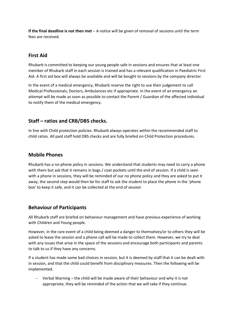**If the final deadline is not then met** – A notice will be given of removal of sessions until the term fees are received.

### **First Aid**

Rhubarb is committed to keeping our young people safe in sessions and ensures that at least one member of Rhubarb staff in each session is trained and has a relevant qualification in Paediatric First Aid. A first aid box will always be available and will be bought to sessions by the company director.

In the event of a medical emergency, Rhubarb reserve the right to use their judgement to call Medical Professionals; Doctors, Ambulances etc if appropriate. In the event of an emergency an attempt will be made as soon as possible to contact the Parent / Guardian of the affected individual to notify them of the medical emergency.

# **Staff – ratios and CRB/DBS checks.**

In line with Child protection policies. Rhubarb always operates within the recommended staff to child ratios. All paid staff hold DBS checks and are fully briefed on Child Protection procedures.

### **Mobile Phones**

Rhubarb has a no-phone policy in sessions. We understand that students may need to carry a phone with them but ask that it remains in bags / coat pockets until the end of session. If a child is seen with a phone in sessions, they will be reminded of our no phone policy and they are asked to put it away, the second step would then be for staff to ask the student to place the phone in the 'phone box' to keep it safe, and it can be collected at the end of session

### **Behaviour of Participants**

All Rhubarb staff are briefed on behaviour management and have previous experience of working with Children and Young people.

However, in the rare event of a child being deemed a danger to themselves/or to others they will be asked to leave the session and a phone call will be made to collect them. However, we try to deal with any issues that arise in the space of the sessions and encourage both participants and parents to talk to us if they have any concerns.

If a student has made some bad choices in session, but it is deemed by staff that it can be dealt with in session, and that the child could benefit from disciplinary measures. Then the following will be implemented.

Verbal Warning – the child will be made aware of their behaviour and why it is not appropriate, they will be reminded of the action that we will take if they continue.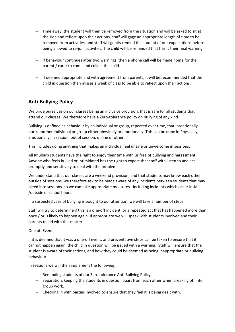- − Time away, the student will then be removed from the situation and will be asked to sit at the side and reflect upon their actions, staff will gage an appropriate length of time to be removed from activities, and staff will gently remind the student of our expectations before being allowed to re-join activities. The child will be reminded that this is their final warning.
- − If behaviour continues after two warnings, then a phone call will be made home for the parent / carer to come and collect the child.
- − If deemed appropriate and with agreement from parents, it will be recommended that the child in question then misses a week of class to be able to reflect upon their actions.

### **Anti-Bullying Policy**

We pride ourselves on our classes being an inclusive provision, that is safe for all students that attend our classes. We therefore have a Zero-tolerance policy on bullying of any kind.

Bullying Is defined as behaviour by an individual or group, repeated over time, that intentionally hurts another individual or group either physically or emotionally. This can be done in Physically, emotionally, in session, out of session, online or other.

This includes doing anything that makes an individual feel unsafe or unwelcome in sessions.

All Rhubarb students have the right to enjoy their time with us free of bullying and harassment. Anyone who feels bullied or intimidated has the right to expect that staff with listen to and act promptly and sensitively to deal with the problem.

We understand that our classes are a weekend provision, and that students may know each other outside of sessions, we therefore ask to be made aware of any incidents between students that may bleed into sessions, so we can take appropriate measures. Including incidents which occur inside /outside of school hours.

If a suspected case of bullying is bought to our attention, we will take a number of steps;

Staff will try to determine if this is a one-off incident, or a repeated act that has happened more than once / or is likely to happen again. If appropriate we will speak with students involved and their parents to aid with this matter.

#### One off Event

If it is deemed that it was a one-off event, and preventative steps can be taken to ensure that it cannot happen again, the child in question will be issued with a warning. Staff will ensure that the student is aware of their actions, and how they could be deemed as being inappropriate or bullying behaviour.

In sessions we will then implement the following;

- − Reminding students of our Zero tolerance Anti Bullying Policy.
- − Separation, keeping the students in question apart from each other when breaking off into group work.
- − Checking in with parties involved to ensure that they feel it is being dealt with.